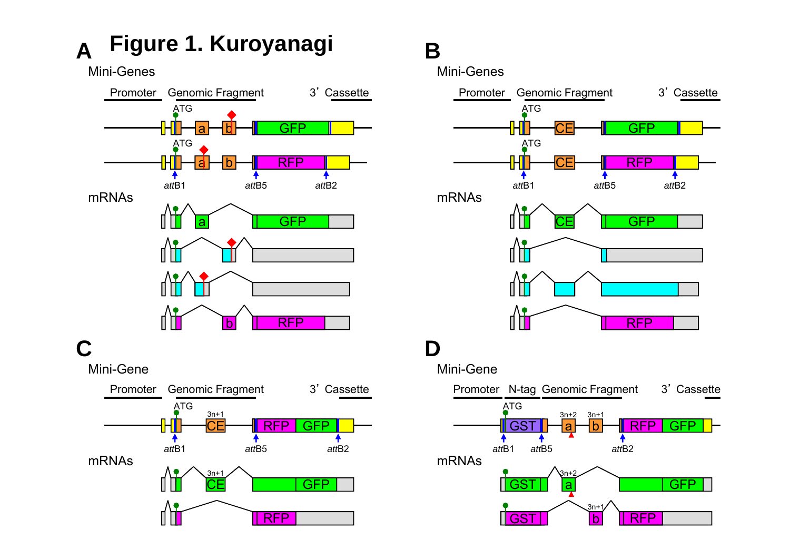**Figure 1. Kuroyanagi A**

Mini-Genes



## **B**

Mini-Genes

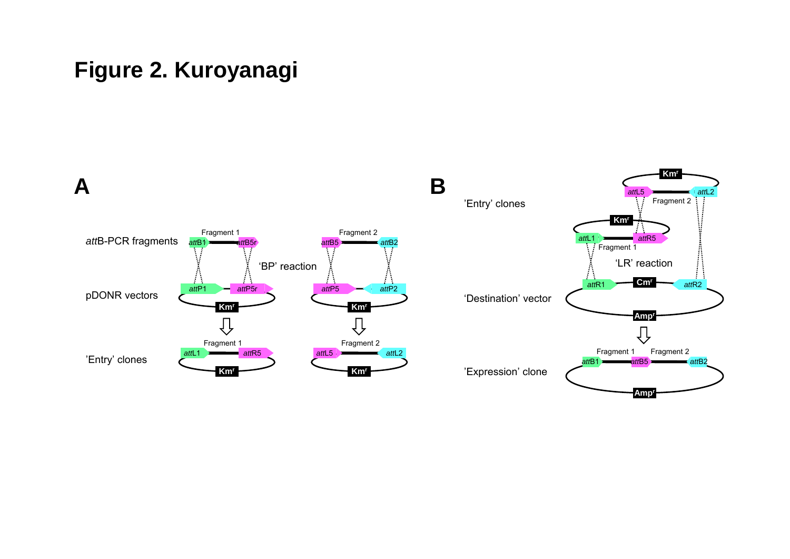## **Figure 2. Kuroyanagi**